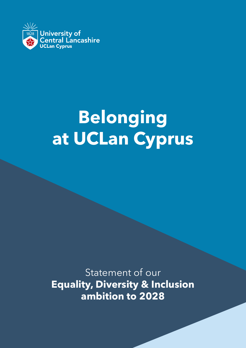

## **Belonging at UCLan Cyprus at UCLan CyprusBelonging**

**ambition to 2028** Statement of our **Equality, Diversity & Inclusion ambition to 2028**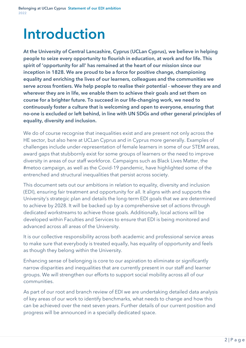## **Introduction**

**At the University of Central Lancashire, Cyprus (UCLan Cyprus), we believe in helping people to seize every opportunity to flourish in education, at work and for life. This spirit of 'opportunity for all' has remained at the heart of our mission since our inception in 1828. We are proud to be a force for positive change, championing equality and enriching the lives of our learners, colleagues and the communities we serve across frontiers. We help people to realise their potential - whoever they are and wherever they are in life, we enable them to achieve their goals and set them on course for a brighter future. To succeed in our life-changing work, we need to continuously foster a culture that is welcoming and open to everyone, ensuring that no-one is excluded or left behind, in line with UN SDGs and other general principles of equality, diversity and inclusion.**

We do of course recognise that inequalities exist and are present not only across the HE sector, but also here at UCLan Cyprus and in Cyprus more generally. Examples of challenges include under-representation of female learners in some of our STEM areas, award gaps that stubbornly exist for some groups of learners or the need to improve diversity in areas of our staff workforce. Campaigns such as Black Lives Matter, the #metoo campaign, as well as the Covid-19 pandemic, have highlighted some of the entrenched and structural inequalities that persist across society.

This document sets out our ambitions in relation to equality, diversity and inclusion (EDI), ensuring fair treatment and opportunity for all. It aligns with and supports the University's strategic plan and details the long-term EDI goals that we are determined to achieve by 2028. It will be backed up by a comprehensive set of actions through dedicated workstreams to achieve those goals. Additionally, local actions will be developed within Faculties and Services to ensure that EDI is being monitored and advanced across all areas of the University.

It is our collective responsibility across both academic and professional service areas to make sure that everybody is treated equally, has equality of opportunity and feels as though they belong within the University.

Enhancing sense of belonging is core to our aspiration to eliminate or significantly narrow disparities and inequalities that are currently present in our staff and learner groups. We will strengthen our efforts to support social mobility across all of our communities.

As part of our root and branch review of EDI we are undertaking detailed data analysis of key areas of our work to identify benchmarks, what needs to change and how this can be achieved over the next seven years. Further details of our current position and progress will be announced in a specially dedicated space.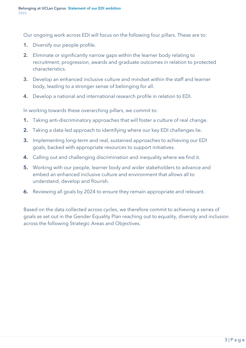Our ongoing work across EDI will focus on the following four pillars. These are to:

- **1.** Diversify our people profile.
- **2.** Eliminate or significantly narrow gaps within the learner body relating to recruitment, progression, awards and graduate outcomes in relation to protected characteristics.
- **3.** Develop an enhanced inclusive culture and mindset within the staff and learner body, leading to a stronger sense of belonging for all.
- **4.** Develop a national and international research profile in relation to EDI.

In working towards these overarching pillars, we commit to:

- **1.** Taking anti-discriminatory approaches that will foster a culture of real change.
- **2.** Taking a data-led approach to identifying where our key EDI challenges lie.
- **3.** Implementing long-term and real, sustained approaches to achieving our EDI goals, backed with appropriate resources to support initiatives.
- **4.** Calling out and challenging discrimination and inequality where we find it.
- **5.** Working with our people, learner body and wider stakeholders to advance and embed an enhanced inclusive culture and environment that allows all to understand, develop and flourish.
- **6.** Reviewing all goals by 2024 to ensure they remain appropriate and relevant.

Based on the data collected across cycles, we therefore commit to achieving a series of goals as set out in the Gender Equality Plan reaching out to equality, diversity and inclusion across the following Strategic Areas and Objectives.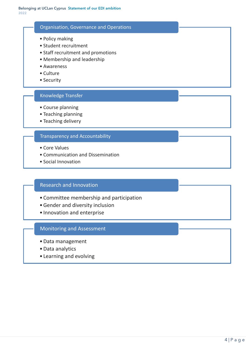### Organisation, Governance and Operations

- Policy making
- Student recruitment
- Staff recruitment and promotions
- Membership and leadership
- Awareness
- Culture
- Security

### Knowledge Transfer

- Course planning
- Teaching planning
- Teaching delivery

### Transparency and Accountability

- Core Values
- Communication and Dissemination
- Social Innovation

### Research and Innovation

- Committee membership and participation
- •Gender and diversity inclusion
- Innovation and enterprise

### Monitoring and Assessment

- •Data management
- •Data analytics
- Learning and evolving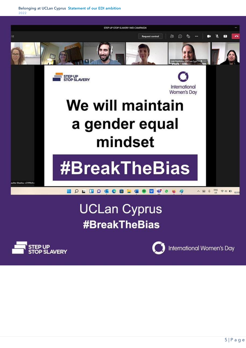

### **UCLan Cyprus #BreakTheBias**





International Women's Day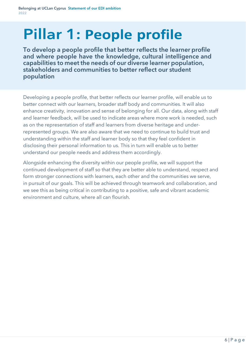## **Pillar 1: People profile**

**To develop a people profile that better reflects the learner profile and where people have the knowledge, cultural intelligence and capabilities to meet the needs of our diverse learner population, stakeholders and communities to better reflect our student population**

Developing a people profile, that better reflects our learner profile, will enable us to better connect with our learners, broader staff body and communities. It will also enhance creativity, innovation and sense of belonging for all. Our data, along with staff and learner feedback, will be used to indicate areas where more work is needed, such as on the representation of staff and learners from diverse heritage and underrepresented groups. We are also aware that we need to continue to build trust and understanding within the staff and learner body so that they feel confident in disclosing their personal information to us. This in turn will enable us to better understand our people needs and address them accordingly.

Alongside enhancing the diversity within our people profile, we will support the continued development of staff so that they are better able to understand, respect and form stronger connections with learners, each other and the communities we serve, in pursuit of our goals. This will be achieved through teamwork and collaboration, and we see this as being critical in contributing to a positive, safe and vibrant academic environment and culture, where all can flourish.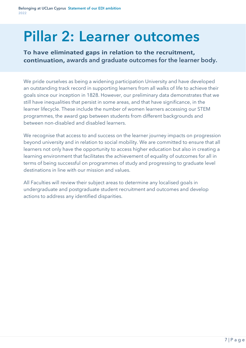## **Pillar 2: Learner outcomes**

To have eliminated gaps in relation to the recruitment, **awards and graduate outcomes for the learner body.**

We pride ourselves as being a widening participation University and have developed an outstanding track record in supporting learners from all walks of life to achieve their goals since our inception in 1828. However, our preliminary data demonstrates that we still have inequalities that persist in some areas, and that have significance, in the learner lifecycle. These include the number of women learners accessing our STEM programmes, the award gap between students from different backgrounds and between non-disabled and disabled learners.

We recognise that access to and success on the learner journey impacts on progression beyond university and in relation to social mobility. We are committed to ensure that all learners not only have the opportunity to access higher education but also in creating a learning environment that facilitates the achievement of equality of outcomes for all in terms of being successful on programmes of study and progressing to graduate level destinations in line with our mission and values.

All Faculties will review their subject areas to determine any localised goals in undergraduate and postgraduate student recruitment and outcomes and develop actions to address any identified disparities.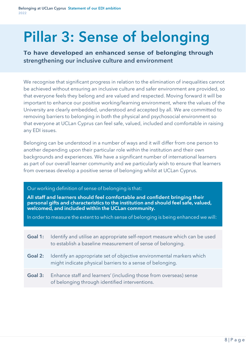# **Pillar 3: Sense of belonging**

To have developed an enhanced sense of belonging through **strengthening our inclusive culture and environment**

We recognise that significant progress in relation to the elimination of inequalities cannot be achieved without ensuring an inclusive culture and safer environment are provided, so that everyone feels they belong and are valued and respected. Moving forward it will be important to enhance our positive working/learning environment, where the values of the University are clearly embedded, understood and accepted by all. We are committed to removing barriers to belonging in both the physical and psychosocial environment so that everyone at UCLan Cyprus can feel safe, valued, included and comfortable in raising any EDI issues.

Belonging can be understood in a number of ways and it will differ from one person to another depending upon their particular role within the institution and their own backgrounds and experiences. We have a significant number of international learners as part of our overall learner community and we particularly wish to ensure that learners from overseas develop a positive sense of belonging whilst at UCLan Cyprus.

#### Our working definition of sense of belonging is that:

All staff and learners should feel comfortable and confident bringing their personal gifts and characteristics to the institution and should feel safe, valued, welcomed, and included within the UCLan community.

In order to measure the extent to which sense of belonging is being enhanced we will:

| Goal 1: | Identify and utilise an appropriate self-report measure which can be used<br>to establish a baseline measurement of sense of belonging. |
|---------|-----------------------------------------------------------------------------------------------------------------------------------------|
| Goal 2: | Identify an appropriate set of objective environmental markers which<br>might indicate physical barriers to a sense of belonging.       |
| Goal 3: | Enhance staff and learners' (including those from overseas) sense<br>of belonging through identified interventions.                     |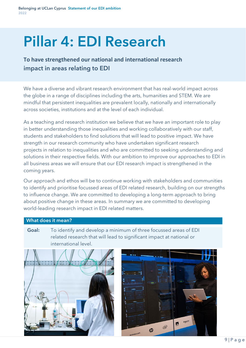## **Pillar 4: EDI Research**

**To have strengthened our national and international research impact in areas relating to EDI**

We have a diverse and vibrant research environment that has real-world impact across the globe in a range of disciplines including the arts, humanities and STEM. We are mindful that persistent inequalities are prevalent locally, nationally and internationally across societies, institutions and at the level of each individual.

As a teaching and research institution we believe that we have an important role to play in better understanding those inequalities and working collaboratively with our staff, students and stakeholders to find solutions that will lead to positive impact. We have strength in our research community who have undertaken significant research projects in relation to inequalities and who are committed to seeking understanding and solutions in their respective fields. With our ambition to improve our approaches to EDI in all business areas we will ensure that our EDI research impact is strengthened in the coming years.

Our approach and ethos will be to continue working with stakeholders and communities to identify and prioritise focussed areas of EDI related research, building on our strengths to influence change. We are committed to developing a long-term approach to bring about positive change in these areas. In summary we are committed to developing world-leading research impact in EDI related matters.

### **What does it mean?**

**Goal:** To identify and develop a minimum of three focussed areas of EDI related research that will lead to significant impact at national or international level.